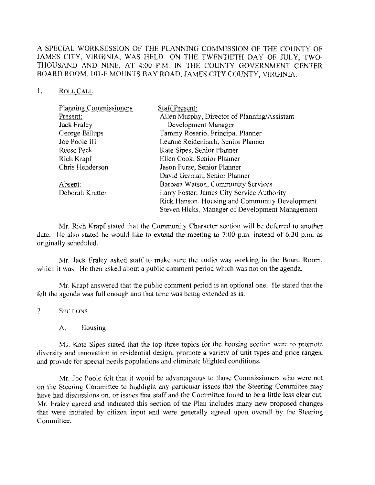# A SPECIAL WORKSESSION OF THE PLANNING COMMISSION OF THE COUNTY OF JAMES CITY, VIRGINIA. WAS HELD ON THE TWENTIETH DAY OF JULY, TWO-THOUSAND AND NINE. AT 4:00 P.M. IN THE COUNTY GOVERNMENT CENTER BOARD ROOM, !OI-F MOUNTS BAY ROAD, JAMES CITY COlINTY, VIRGINIA.

## I. ROLLCALL

| <b>Planning Commissioners</b> | <b>Staff Present:</b>                           |
|-------------------------------|-------------------------------------------------|
| Present:                      | Allen Murphy, Director of Planning/Assistant    |
| <b>Jack Fraley</b>            | Development Manager                             |
| George Billups                | Tammy Rosario, Principal Planner                |
| Joe Poole III                 | Leanne Reidenbach, Senior Planner               |
| Reese Peck                    | Kate Sipes, Senior Planner                      |
| Rich Krapf                    | Ellen Cook, Senior Planner                      |
| Chris Henderson               | Jason Purse, Senior Planner                     |
|                               | David German, Senior Planner                    |
| Absent:                       | Barbara Watson, Community Services              |
| Deborah Kratter               | Larry Foster, James City Service Authority      |
|                               | Rick Hanson, Housing and Community Development  |
|                               | Steven Hicks, Manager of Development Management |

Mr. Rich Krapf stated that the Community Character section will be deferred to another date. He also stated he would like to extend the meeting to 7:00 p.m. instead of 6:30 p.m. as originally scheduled.

Mr. Jack Fraley asked staff to make sure the audio was working in the Board Room, which it was. He then asked about a public comment period which was not on the agenda.

Mr. Krapf answered that the public comment period is an optional one. He stated that the felt the agenda was full enough and that time was being extended as is.

#### 2 **SECTIONS**

Ms. Kate Sipes stated that the top three topics for the housing section were to promote diversity and innovation in residential design. promote a variety of unit types and price ranges, and provide for special needs populations and eliminate blighted conditions.

Mr. Joe Poole felt that it would be advantageous to those Commissioners who were not on the Steering Committee to highlight any particular issues that the Steering Committee may have had discussions on, or issues that staff and the Committee found to be a little less clear cut. Mr. Fraley agreed and indicated this section of the Plan includes many new proposed changes that were initiated by citizen input and were generally agreed upon overall by the Steering Committee.

A. Housing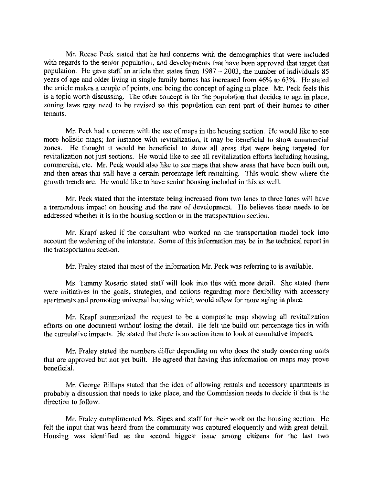Mr. Reese Peck stated that he had concerns with the demographics that were included with regards to the senior population, and developments that have been approved that target that population. He gave staff an article that states from  $1987 - 2003$ , the number of individuals 85 years of age and older living in single family homes has increased from 46% to 63%. He stated the article makes a couple of points, one being the concept of aging in place. Mr. Peck feels this is a topic worth discussing. The other concept is for the population that decides to age **in** place, zoning laws may need to be revised so this population can rent part of their homes to other tenants.

Mr. Peck had a conccrn with the use of maps in the housing section. He would like to see more holistic maps; for instance with revitalization, it may be beneficial to show commercial zones. He thought it would be beneficial to show all areas that were being targeted for revitalization not just sections. He would like to see all revitalization efforts including housing, commercial, etc. Mr. Peck would also like to see maps that show areas that have been built out, and then areas that still have a certain percentage left remaining. This would show where the growth trends are. He would like to have senior housing included in this as well.

Mr. Peck stated that the interstate being increased from two lanes to three lanes will have a tremendous impact on housing and the rate of development. He believes these needs to be addressed whether it is in the housing section or in the transportation section.

Mr. Krapf asked if the consultant who worked on the transportation model took into account the widening of the interstate. Some of this information may be in the technical report in the transportation section.

Mr. Fraley stated that most of the information Mr. Peck was referring to is available.

Ms. Tammy Rosario stated staff will look into this with more detail. She stated there were initiatives in the goals, strategies, and actions regarding more flexibility with accessory apartments and promoting universal housing which would allow for more aging in place.

Mr. Krapf summarized the request to be a composite map showing all revitalization efforts on one document without losing the detail. He felt the build out percentage ties in with the cumulative impacts. He stated that there is an action item to look at cumulative impacts.

Mr. Fraley stated the numbers differ depending on who does the study concerning units that are approved but not yet built. He agreed that having this information on maps may prove beneficial.

Mr. George Billups stated that the idea of allowing rentals and accessory apartments is probably a discussion that needs to lake place, and the Commission needs to decide if that is the direction to follow.

Mr. Fraley complimented Ms. Sipes and staff for their work on the housing section. He felt the input that was beard from the community was captured eloquently and with great detail. Housing was identified as the second biggest issue among citizens for the last two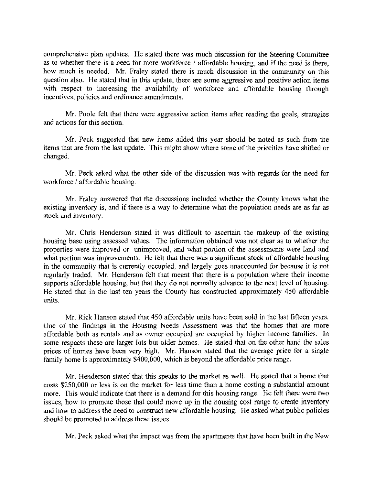comprehensive plan updates. He stated there was much discussion for the Steering Committee as to whether there is a need for more workforce / affordable housing, and if the need is there, how much is needed. Mr. Fraley stated there is much discussion in the community on this question also. He stated that in this update, there are some aggressive and positive action items with respect to increasing the availability of workforce and affordable housing through incentives, policies and ordinance amendments.

Mr. Poole felt that there were aggressive action items after reading the goals, strategies and actions for this section.

Mr. Peck suggested that new items added this year should be noted as such from the items that are from the last update. This might show where some of the priorities have shifted or changed.

Mr. Peck asked what the other side of the discussion was with regards for the need for workforce / affordable housing.

Mr. Fraley answered that the discussions included whether the County knows what the existing inventory is. and if there is a way to determine what the population needs are as far as stock and inventory.

Mr. Chris Henderson stated it was difficult to ascertain the makeup of the existing housing base using assessed values. The information obtained was not clear as to whether the properties were improved or unimproved, and what portion of the assessments were land and what portion was improvements. He felt that there was a significant stock of affordable housing in the community that is currently occupied, and largely goes unaccounted for because it is not regularly traded. Mr. Henderson felt that meant that there is a population where their income supports affordable housing, but that they do not normally advance to the next level of housing. He stated that in the last ten years the County has constructed approximately 450 affordable units.

Mr. Rick Hanson stated that 450 affordable units have been sold in the last fifteen years. One of the findings in the Housing Needs Assessment was that the homes that are more affordable both as rentals and as owner occupied are occupied by higher ineome families. In some respects these are larger lots but older homes. He stated that on the other hand the sales priees of homes have been very high. Mr. Hanson stated that the average price for a single family home is approximately \$400,000, which is beyond the affordable price range.

Mr. Henderson stated that this speaks to the market as well. He stated that a home that costs \$250,000 or less is on the market for less time than a home costing a substantial amount more. This would indicate that there is a demand for this housing range. He felt there were two issues, how to promote those that could move up in the housing cost range to create inventory and how to address the need to construct new affordable housing. He asked what public policies should be promoted to address these issues.

Mr. Peck asked what the impact was from the apartments that have been built in the New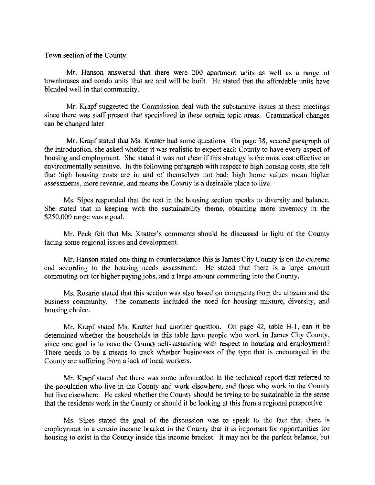Town section of the County.

Mr. Hanson answered that there were 200 apartment units as well as a range of townhouses and condo units that are and will be built. He stated that the affordable units have blended well in that community,

Mr. Krapf suggested the Commission deal with the substantive issues at these meetings since there was staff present that specialized in these certain topic areas. Grammatical changes can be changed later.

Mr. Krapf stated that Ms. Kratter had some questions. On page 38, second paragraph of the introduction. she asked whether it was realistic to expect each County to have every aspect of housing and employment. She stated it was not clear if this strategy is the most cost effective or enviromnentally sensitive. In the following paragraph with respect to high housing costs, she felt that high housing costs are in and of themselves not bad; high home values mean higher assessments, more revenue, and means the County is a desirable place to live.

Ms. Sipes responded that the text in the housing section speaks to diversity and balance. She stated that in keeping with the sustainability theme, obtaining more inventory in the \$250,000 range was a goal.

Mr. Peck felt that Ms. Kratter's comments should be diseussed in light of the County facing some regional issues and development.

Mr. Hanson stated one thing to counterbalance this is James City County is on the extreme end according to the housing needs assessment. He staled that there is a large amount commuting out for higher paying jobs, and a large amount commuting into the County.

Ms. Rosario stated that this section was also based on comments from the citizens and the business community. The comments included the need for housing mixture, diversity, and housing choice.

Mr. Krapf stated Ms. Kratter had another question. On page 42, table H-I, can it be determined whether the households in this table have people who work in James City County, since one goal is to have the County self-sustaining with respect to housing and employment? There needs to be a means to traek whether businesses of the type that is encouraged in the County are suffering from a lack of local workers.

Mr. Krapf stated that there was some information in the technical report that referred to the population who live in the County and work elsewhere, and those who work in the County but live elsewhere. He asked whether the County should be trying to be sustainable in the sense that the residents work in the County or should it be looking at this from a regional perspective.

Ms. Sipes stated the goal of the discussion was to speak to the fact that there is employment in a certain income bracket in the County that it is important for opportunities for housing to exist in the County inside this income bracket. It may not be the perfect balance, but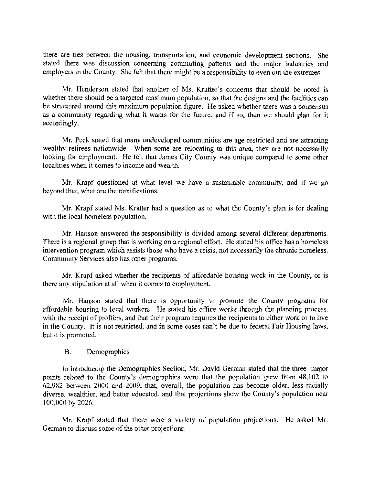there are ties between the housing, transportation, and economic development sections. She stated there was discussion concerning commuting patterns and the major industries and employers in the County. She felt that there might be a responsibility to even out the extremes.

Mr. Henderson stated that another of Ms. Kratter's concerns that should be noted is whether there should be a targeted maximum population, so that the designs and the facilities can be structured around this maximum population figure. He asked whether there was a consensus as a community regarding what it wants for the future, and if so, then we should plan for it accordingly.

Mr. Peck stated that many undeveloped communities are age restricted and are attracting wealthy retirees nationwide. When some are relocating to this area, they are not necessarily looking for employment. He felt that James City County was unique compared to some other localities when it comes to income and wealth.

Mr. Krapf questioned at what level we have a sustainable community, and if we go beyond that, what are the ramifications,

Mr. Krapf stated Ms. Kratter had a question as to what the County's plan is for dealing with the local homeless population.

Mr. Hanson answered the responsibility is divided among several different departments, There is a regional group that is working on a regional effort. He stated his office has a homeless intervention program which assists those who have a crisis, not necessarily the chronic homeless. Community Services also has other programs,

Mr, Krapf asked whether the recipients of affordable housing work in the County, or is there any stipulation at all when it comes to employment.

Mr. Hanson stated that there is opportunity to promote the County programs for affordable housing to local workers. He stated his office works through the planning process, with the receipt of proffers, and that their program requires the recipients to either work or to live in the County. It is not restricted, and in some cases can't be due to federal Fair Housing laws, but it is promoted.

#### B. Demographics

In introducing the Demographics Section, Mr. David Gennan stated that the three major points related to the County's demographics were that the population grew from 48,102 to 62,982 between 2000 and 2009, that, overall, the population has become older, less racially diverse, wealthier, and better educated, and that projections show the County's population near 100,000 by 2026,

Mr. Krapf stated that there were a variety of population projections, He asked Mr. German to discuss some of the other projections.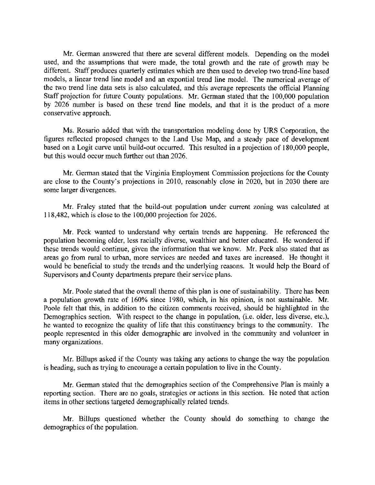Mr. German answered that there are several different models. Depending on the model used, and the assumptions that were made, the total growth and the rate of growth may be different. Staff produces quarterly estimates which are then used to develop two trend-line based models, a linear trend line model and an expontial trend line model. The numerical average of the two trend line data sets is also calculated, and this average represents the official Planning Staff projection for future County populations. Mr. German stated that the 100,000 population by 2026 number is based on these trend line models, and that it is the product of a more conservative approach.

Ms. Rosario added that with the transportation modeling done by VRS Corporation, the figures reflected proposed changes to the Land Use Map, and a steady pace of development based on a Logit curve until build-out occurred. This resulted in a projection of 180,000 people, but this would occur much further out than 2026.

Mr. German stated that the Virginia Employment Commission projections for the County are close to the County's projections in 2010, reasonably close in 2020, but in 2030 there are some larger divergences.

Mr. Fraley stated that the build-out population under current zoning was calculated at 118,482, which is close to the 100,000 projection for 2026.

Mr. Peck wanted to understand why eertain trends are happening. He referenced the population becoming older, less racially diverse, wealthier and better educated. He wondered if these trends would continue, given the information that we know. Mr. Peck also stated that as areas go from rural to urban, more services are needed and taxes are increased. He thought it would be beneficial to study the trends and the underlying reasons. It would help the Board of Supervisors and County departments prepare their service plans.

Mr. Poole stated that the overall theme of this plan is one of sustainability. There has been a population growth rate of 160% since 1980, which, in his opinion, is not sustainable. *Me.*  Poole felt that this, in addition to the citizen comments received, should be highlighted in the Demographics section. With respect to the change in population, (i.e. older, less diverse, etc.), he wanted to recognize the quality of life that this constituency brings to the community. The people represented in this older demographic are involved in the community and volunteer in many organizations.

Mr. Billups asked if the County was taking any actions to change the way the population is heading, such as trying to encourage a certain population to live in the County.

Mr. German stated that the demographics section of the Comprehensive Plan is mainly a reporting section. There are no goals, strategies or actions in this section. He noted that action items in other sections targeted demographically related trends.

Mr. Billups questioned whether the County should do something to change the demographics of the population.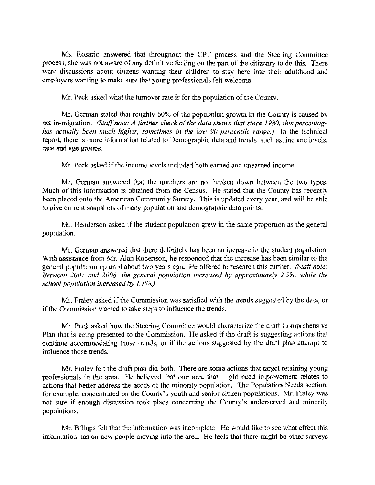Ms. Rosario answered that throughout the CPT process and the Steering Committee process, she was not aware of any definitive feeling on the part of the citizenry to do this. There were discussions about citizens wanting their children to stay here into their adulthood and employers wanting to make sure that young professionals felt welcome.

Mr. Peck asked what the turnover rate is for the population of the County.

Mr. German stated that roughly 60% of the population growth in the County is caused by net in-migration. *(Staff note: A further check of the data shows that since 1980, this percentage has actually been much higher. sometimes in the low 90 percentile range.)* In the technical report, there is more information related to Demographic data and trends, such as, inoome levels, race and age groups.

Mr. Peck asked if the income levels included both earned and unearned income.

Mr. German answered that the numbers are not broken down between the two types. Much of this information is obtained from the Census. He stated that the County has recently been placed onto the American Community Survey. This is updated every year, and will be able to give current snapshots of many population and demographic data points.

Mr. Henderson asked if the student population grew in the same proportion as the general population.

Mr. German answered that there definitely has been an increase in the student population. With assistance from Mr. Alan Robertson, he responded that the increase has been similar to the general population up until about two years ago. He offered to research this further. *(Staff note: Between 2007 and 2008. the general population increased by approximately* 2.5%. *while the school population increased by 1.1%)* 

Mr. Fraley asked if the Commission was satisfied with the trends suggested by the data, or if the Commission wanted to take steps to intluence the trends.

Mr. Peck asked how the Steering Committee would characterize the draft Comprehensive Plan that is being presented to the Commission. He asked if the draft is suggesting actions that continue accommodating those trends, or if the actions suggested by the draft plan attempt to intluence those trends.

Mr. Fraley felt the draft plan did both. There are some actions that target retaining young professionals in the area. He believed that one area that might need improvement relates to actions that better address the needs of the minority population. The Population Needs section, for example, concentrated on the County's youth and senior citizen populations. Mr. Fralcy was not sure if enough discussion took place concerning the County's underserved and minority populations.

Mr. Billups felt that the information was incomplete. He would like to see what effect this information has on new people moving into the area. He feels that there might be other surveys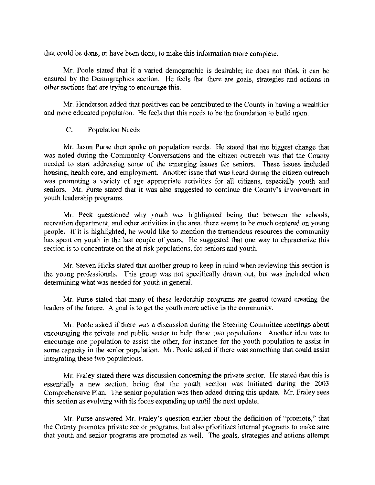that could be done, or have been done, to make this information more complete.

Mr. Poole stated that if a varied demographic is desirable; he does not think it can be ensured by the Demographics section. He feels that there are goals, strategies and actions in other sections that are trying to encourage this.

Mr. Henderson added that positives can be contributed to the County in having a wealthier and more educated population. He feels that this needs to be the foundation to build upon.

## C. Population Needs

Mr. Jason Purse then spoke on population needs. He stated that the biggest change that was noted during the Community Conversations and the citizen outreach was that the County needed to start addressing some of the emerging issues for seniors. These issues included housing, health care, and employment. Another issue that was heard during the citizen outreach was promoting a variety of age appropriate activities for all citizens, especially youth and seniors. Mr. Purse stated that it was also suggested to continue the County's involvement in youth leadership programs.

Mr. Peck questioned why youth was highlighted being that between the schools, recreation department, and other aetivities in the area, there seems to be much centered on young people. If it is highlighted, he would like to mention the tremendous resources the community has spent on youth in the last couple of years. He suggested that one way to characterize this section is to concentrate on the at risk populations, for seniors and youth.

Mr. Steven Hicks stated that another group to keep in mind when reviewing this section is the young professionals. This group was not specifically drawn out, but was included when determining what was needed for youth in general.

Mr. Purse stated that many of these leadership programs are geared toward creating the leaders of the future. A goal is to get the youth more active in the community.

Mr. Poole asked if there was a discussion during the Steering Committee meetings about encouraging the private and public sector to help these two populations. Another idea was to encourage one population to assist the other, for instance for the youth population to assist in some capacity in the senior population. Mr. Poole asked if there was something that could assist integrating these two populations.

Mr. Fraley stated there was discussion concerning the private sector. He stated that this is essentially a new section, being that the youth section was initiated during the 2003 Comprehensive Plan. The senior population was then added during this update. Mr. Fraley sees this section as evolving with its focus expanding up until the next update.

Mr. Purse answered Mr. Fraley's question earlier about the definition of "promote," that the County promotes private sector programs, but also prioritizes internal programs to make sure that youth and senior programs are promoted as well. The goals, strategies and actions attempt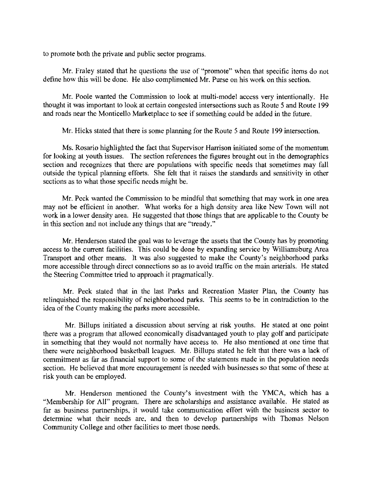to promote both the private and public sector programs.

Mr. Fraley stated that he questions the use of "promote" when that specific items do not define how this will be done. He also complimented Mr. Purse on his work on this section.

Mr. Poole wanted the Commission to look at multi-model access very intentionally. He thought it was important to look at certain congested intersections such as Route 5 and Route 199 and roads near the Monticello Marketplace to see if something could be added in the future.

Mr. Hicks stated that there is some planning for the Route 5 and Route 199 intersection.

Ms. Rosario highlighted the fact that Supervisor Harrison initiated some of the momentum for looking at youth issues. The section references the figures brought out in the demographics section and recognizes that there are populations with specific needs that sometimes may fall outside the typical planning efforts. She felt that it raises the standards and sensitivity in other sections as to what those specific needs might be.

Mr. Peck wanted the Commission to be mindful that something that may work in one area may not be efficient in another. What works for a high density area like New Town will not work in a lower density area. He suggested that those things that are applicable to the County be in this section and not include any things that are "trendy."

Mr. Henderson stated the goal was to leverage the assets that the County has by promoting access to the current facilities. This could be done by expanding service by Williamsburg Area Transport and other means. It was also suggested to make the County's neighborhood parks more accessible through direct connections so as to avoid traffic on the main arterials. He stated the Steering Committee tried to approach it pragmatically.

Mr. Peck stated that in the last Parks and Recreation Master Plan, the County has relinquished the responsibility of neighborhood parks. This seems to be in contradiction to the idea of the County making the parks more accessible.

Mr. Billups initiated a discussion about serving at risk youths. He stated at one point there was a program that allowed economically disadvantaged youth to play golf and participate in something that they would not normally have access to. He also mentioned at one time that there were neighborhood basketball leagues. Mr. Billups stated he felt that there was a lack of commitment as far as financial support to some of the statements made in the population needs section. He believed that more encouragement is needed with businesses so that some of these at risk youth can be employed.

Mr. Henderson mentioned the County's investment with the YMCA, which has a "Membership for All" program. There are scholarships and assistance available. He stated as far as business partnerships, it would take communication effort with the business sector to determine what their needs are, and then to develop partnerships with Thomas Nelson Community College and other facilities to meet those needs.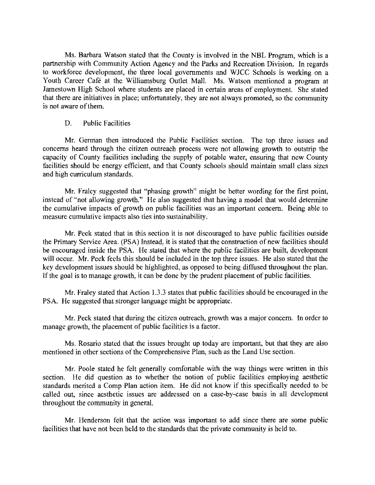Ms. Barbara Watson stated that the County is involved in the NBL Program, which is a partnership with Community Action Agency and the Parks and Recreation Division. In regards to workforce deve/opment, the three local governments and WJCC Schools is working on a Youth Career Café at the Williamsburg Outlet Mall. Ms. Watson mentioned a program at Jamestown High School where students are placed in certain areas of employment. She stated that there are initiatives in place; unfortunately, they are not always promoted, so the community is not aware of them.

### D. Public Facilities

Mr. German then introduced the Public Facilities section. The top three issues and concerns heard through the citizen outreach process were not allowing growth to outstrip the capacity of County facilities including the supply of potable water, ensuring that new County facilities should be energy efficient, and that County schools should maintain small class sizes and high curriculum standards.

Mr. Fraley suggested that "phasing growth" might be better wording for the first point, instead of "not allowing growth." He also suggested that having a model that would determine the cumulative impacts of growth on public facilities was an important concern. Being able to measure cumulative impacts also ties into sustainability.

Mr. Peck stated that in this section it is not discouraged to have public facilities outside the Primary Service Area. (PSA) Instead, it is stated that the construction of new facilities should be encouraged inside the PSA. He stated that where the public facilities are built, development will occur. Mr. Peck feels this should be included in the top three issues. He also stated that the key development issues should be highlighted, as opposed to being diffused throughout the plan. If the goal is to manage growth, it can be done by the prudent placement of public facilities.

Mr. Fraley stated that Action 1.3.3 states that public facilities should be encouraged in the PSA. He suggested that stronger language might be appropriate.

Mr. Peck stated that during the citizen outreach, growth was a major concern. In order to manage growth, the placement of public facilities is a factor.

Ms. Rosario stated that the issues brought up today are important, but that they are also mentioned in other sections of the Comprehensive Plan, such as the Land Use section.

Mr. Poole stated he felt generally comfortable with the way things were written in this section. He did question as to whether the notion of public facilities employing aesthetic standards merited a Comp Plan action item. He did not know if this specifically needed to be called out, since aesthetie issues are addressed on a case-by-case basis in all development throughout the community in general.

Mr. Henderson felt that the action was important to add since there are some public facilities that have not been held to the standards that the private community is held to.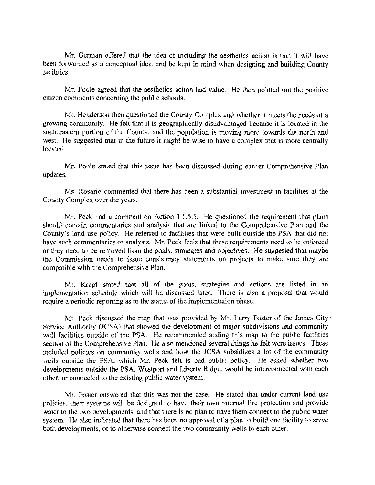Mr. German offered that the idea of including the aesthetics action is that it will have been forwarded as a conceptual idea, and be kept in mind when designing and building County facilities.

Mr. Poole agreed that the aesthetics action had value. He then pointed out the positive citizen comments concerning the public schools.

Mr. Henderson then questioned the County Complex and whether **it** meets the needs of a growing community. He felt that it is geographically disadvantaged because it is located in the southeastern portion of the County, and the population is moving more towards the north and west. He suggested that in the future it might be wise to have a complex that is morc centrally located.

Mr. Poole stated that this issue has been discussed during earlier Comprehensive Plan updates.

Ms. Rosario commented that there has been a substantial investment in facilities at the County Complex over the years.

Mr. Peck had a comment on Action 1.1.5.5. He questioned the requirement that plans should contain commentaries and analysis that are linked to the Comprehensive Plan and the County's land use policy. He referred to facilities that were built outside the PSA that did not have such commentaries or analysis. Mr. Peck feels that these requirements need to be enforced or they need to be removed from the goals, strategies and objectives. He suggested that maybe the Commission needs to issue consistency statements on projects to make sure they are compatible with the Comprehensive Plan.

Mr. Krapf stated that all of the goals, strategies and actions are listed in an implementation schedule which will be discussed later. There is also a proposal that would require a periodic reporting as to the status of the implementation phase.

Mr. Peck discussed the map that was provided by Mr. Larry Foster of the James City· Service Authority (JCSA) that showed the development of major subdivisions and community well facilities outside of the PSA. He recommended adding this map to the public facilities section of the Comprehensive Plan. He also mentioned several things he felt were issues. These included policies on community wells and how the *lCSA* subsidizes a lot of the community wells outside the PSA, which Mr. Peck felt is bad public policy. He asked whether two developments outside the PSA, Westport and Liberty Ridge, would be interconnected with each other, or connected to the existing public water system.

Mr. Foster answered that this was not the case. He stated that under current land use policies, their systems will be designed to have their own internal fire protection and provide water to the two developments, and that there is no plan to have them connect to the public water system. He also indicated that there has been no approval of a plan to build one facility to serve both developments, or to otherwise connect the two community wells to each other.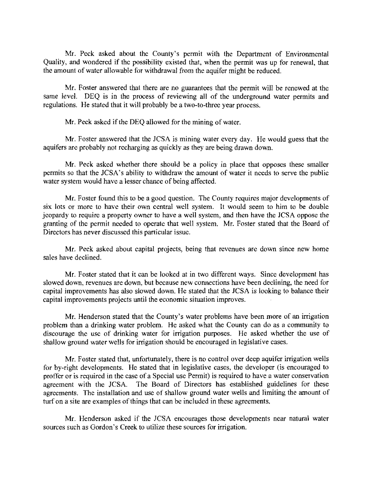Mr. Peck asked about the County's permit with the Department of Environmental Quality, and wondered if the possibility existed that, when the permit was up for renewal, that the amount of water allowable for withdrawal from the aquifer might be reduced.

Mr. Foster answered that there are no guarantees that the permit will be renewed at the same level. DEQ is in the process of reviewing all of the underground water permits and regulations. He stated that it will probably be a two-to-three year process.

Mr. Peck asked if the DEQ allowed for the mining of water.

Mr. Foster answered that the JCSA is mining water every day. He would guess that the aquifers are probably not recharging as quickly as they are being drawn down.

Mr. Peck asked whether there should be a policy in place that opposes these smaller permits so that the JCSA's ability to withdraw the amount of water it needs to serve the public water system would have a lesser chance of being affected.

Mr. Foster found this to be a good question. The County requires major developments of six lots or more to have their own central well system. It would seem to him to be double jeopardy to require a property owner to have a well system, and then have the JCSA oppose the granting of the permit needed to operate that well system. Mr. Foster stated that the Board of Directors has never discussed this particular issue.

Mr. Peck asked about capital projects, being that revenues are down since new home sales have declined.

Me. Foster stated that it can be looked at in two different ways. Since development has slowed down, revenues are down, but because new connections have been declining, the need for capital improvements has also slowed down. He stated that the JCSA is looking to balance their capital improvements projects until the economic situation improves.

Mr. Henderson stated that the County's water problems have been more of an irrigation problem than a drinking water problem. He asked what the County can do as a community to discourage the use of drinking water for irrigation purposes. He asked whether the use of shallow ground water wells for irrigation should be encouraged in legislative cases.

Mr. Foster stated that, unfortunately, there is no control over deep aquifer irrigation wells for by-right developments. He stated that in legislative cases, the developer (is encouraged to proffer or is required in the case of a Special use Permit) is required to have a water conservation agreement with the JCSA. The Board of Directors has established guidelines for these agreements. The installation and use of shallow ground water wells and limiting the amount of turf on a site are examples of things that can be included in these agreements.

Mr. Henderson asked if the JCSA encourages those developments near natural water sources such as Gordon's Creek to utilize these sources for irrigation.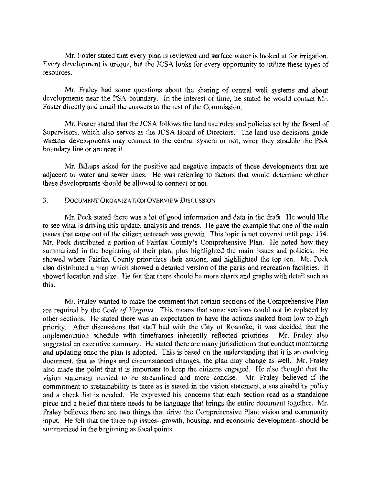Mr. Foster stated that every plan is reviewed and surface water is looked at for irrigation. Every development is unique, but the JCSA looks for every opportunity to utilize these types of resources.

Mr. Fraley had some questions about the sharing of central well systems and about developments near the PSA boundary. In the interest of time, he stated he would contact Mr. Foster directly and email the answers to the rest of the Commission.

Mr. Foster stated that the JCSA follows the land use rules and policies set by the Board of Supervisors, which also serves as the JCSA Board of Directors. The land use decisions guide whether developments may connect to the central system or not, when they straddle the PSA boundary line or are near it.

Mr. Billups asked for the positive and negative impacts of those developments that are adjacent to water and sewer lines. He was referring to factors that would determine whether these developments should be allowed to connect or nol.

# 3. DOCUMENT ORGANIZATION OVERVIEW DISCUSSION

Mr. Peck stated there was a lot of good information and data in the draft. He would like to see what is driving this update, analysis and trends. He gave the example that one of the main issues that came out of the citizen outreach was growth. This topic is not covered until page 154. Mr. Peck distributed a portion of Fairfax County's Comprehensive Plan. He noted how they summarized in the beginning of their plan, plus highlighted the main issues and policies. He showed where Fairfax County prioritizes their actions, and highlighted the top ten. Mr. Peck also distributed a map which showed a detailed version of the parks and recreation facilities. It showed location and size. He felt that there should be more charts and graphs with detail such as this.

Mr. Fraley wanted to make the comment that certain sections of the Comprehensive Plan are required by the *Code of Virginia.* This means that some sections could not he replaced by other sections. He stated there was an expectation to have the actions ranked from low to high priority. After discussions that staff had with the City of Roanoke, it was decided that the implementation schedule with time frames inherently reflected priorities. Mr. Fraley also suggested an executive summary. He stated there are many jurisdictions that conduct monitoring and updating once the plan is adopted. This is based on the understanding that it is an evolving document, that as things and circumstances changes, the plan may change as well. Mr. Fraley also made the point that it is important to keep the citizens engaged. He also thought that the vision statement needed to be streamlined and more concise. Mr. Fraley believed if the commitment to sustainability is there as is stated in the vision statement, a sustainability policy and a check list is needed. He expressed his concerns that each section read as a standalone piece and a belief that there needs to be language that brings the entire document together. Mr. Fraley believes there are two things that drive the Comprehensive Plan: vision and community input. He felt that the three top issues--growth, housing, and economic development--should be summarized in the beginning as focal points.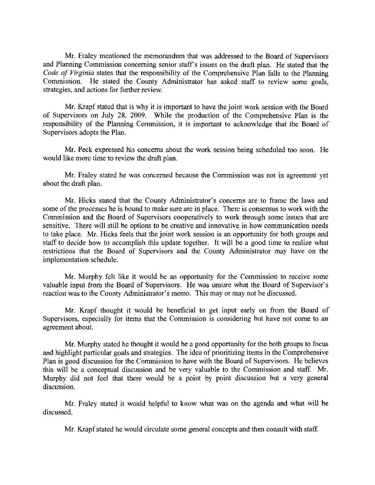Me. Fraley mentioned the memorandum that was addressed to the Board of Supervisors and Planning Commission concerning senior staff's issues on the draft plan. He stated that the *Code of Virginia* states that the responsibility of the Comprehensive Plan falls to the Planning Commission. He stated the County Administrator has asked staff to review some goals, strategies, and actions for further review.

Mr. Krapf stated that is why it is important to have the joint work session with the Board of Supervisors on July 28, 2009. While the production of the Comprehensive Plan is the responsibility of the Planning Commission, it is important to acknowledge that the Board of Supervisors adopts the Plan.

Mr. Peck expressed his concerns ahout the work session heing scheduled too soon. He would like more time to review the draft plan.

Mr. Fraley stated he was concerned because the Commission was not in agreement yet about the draft plan.

Mr. Hicks stated that the County Administrator's concerns are to frame the laws and some of the processes he is bound to make sure are in place. There is consensus to work with the Commission and the Board of Supervisors eooperatively to work through some issues that are sensitive. There will still he options to be creative and innovative in how communication needs to take place. Mr. Hieks feels that the joint work session is an opportunity for both groups and staff to decide how to accomplish this update together. It will be a good time to realize what restrictions that the Board of Supervisors and the County Administrator may have on the implementation schedule.

Mr. Murphy felt like it would be an opportunity for the Commission to receive some valuable input from the Board of Supervisors. He was unsure what the Board of Supervisor's reaction was to the County Administrator's memo. This mayor may not be discussed.

Mr. Krapf thought it would be beneficial to get input early on from the Board of Supervisors, especially for items that the Commission is considering but have not come to an agreement about.

Mr. Murphy stated he thought it would be a good opportunity for the both groups to focus and highlight particular goals and strategies. The idca of prioritizing items in the Comprehensive Plan is good discussion for the Commission to have with the Board of Supervisors. He believes this will be a conceptual discussion and be very valuable to the Commission and staff. Mr. Murphy did not feel that there would be a point by point discussion but a very general discussion.

Mr. Fraley stated it would helpful to know what was on the agenda and what will be discussed.

Mr. Krapf stated he would circulate some general concepts and then consult with staff.